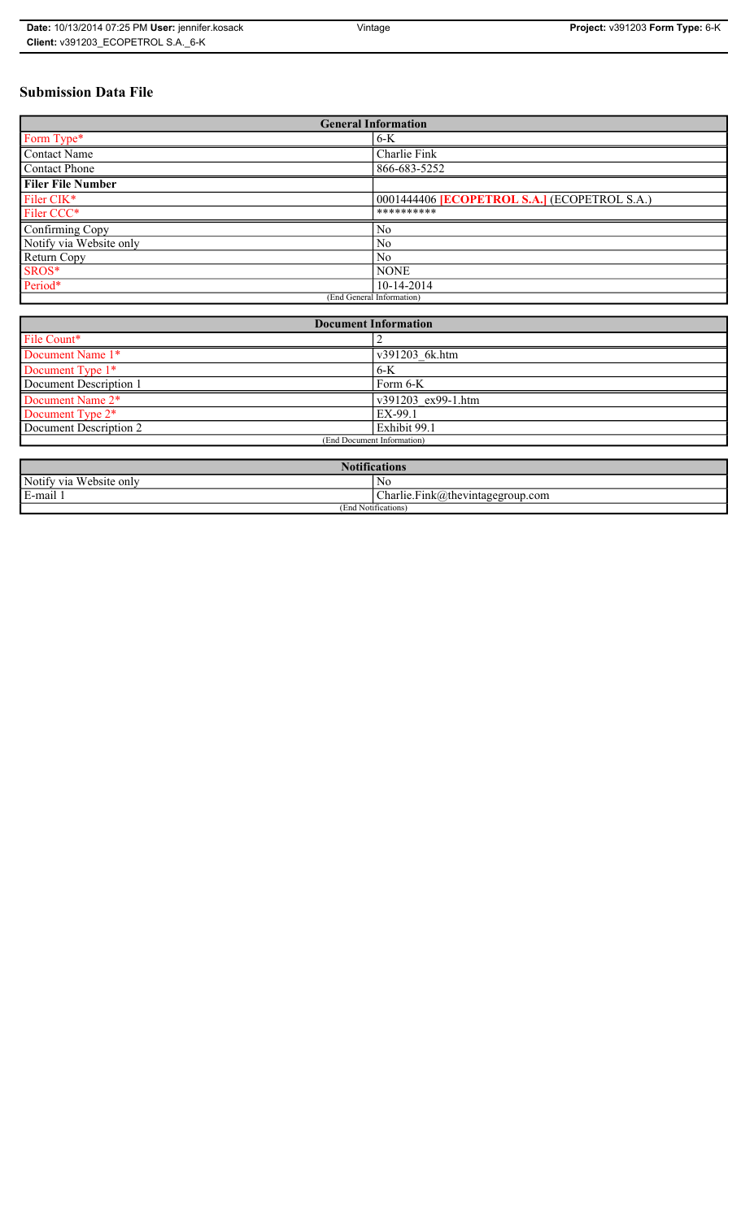| Date: 10/13/2014 07:25 PM User: jennifer.kosack | Vintage | <b>Project: v391203 Form Type: 6-K</b> |
|-------------------------------------------------|---------|----------------------------------------|
| Client: v391203 ECOPETROL S.A. 6-K              |         |                                        |

# **Submission Data File**

| <b>General Information</b> |                                                     |  |  |
|----------------------------|-----------------------------------------------------|--|--|
| Form Type*                 | $6-K$                                               |  |  |
| Contact Name               | Charlie Fink                                        |  |  |
| <b>Contact Phone</b>       | 866-683-5252                                        |  |  |
| <b>Filer File Number</b>   |                                                     |  |  |
| Filer CIK*                 | 0001444406 <b>[ECOPETROL S.A.]</b> (ECOPETROL S.A.) |  |  |
| Filer CCC*                 | **********                                          |  |  |
| Confirming Copy            | N <sub>0</sub>                                      |  |  |
| Notify via Website only    | N <sub>0</sub>                                      |  |  |
| Return Copy                | N <sub>0</sub>                                      |  |  |
| SROS*                      | <b>NONE</b>                                         |  |  |
| Period*                    | 10-14-2014                                          |  |  |
| (End General Information)  |                                                     |  |  |

| <b>Document Information</b>  |                    |  |
|------------------------------|--------------------|--|
| File Count*                  |                    |  |
| Document Name 1*             | v391203 6k.htm     |  |
| Document Type 1*             | $6-K$              |  |
| Document Description 1       | Form 6-K           |  |
| Document Name 2*             | v391203 ex99-1.htm |  |
| Document Type 2 <sup>*</sup> | EX-99.1            |  |
| Document Description 2       | Exhibit 99.1       |  |
| (End Document Information)   |                    |  |
|                              |                    |  |

| $\sqrt{2}$<br><b>Notifications</b>                    |                                                                                |  |  |
|-------------------------------------------------------|--------------------------------------------------------------------------------|--|--|
| Notify via<br>Website only                            | N0                                                                             |  |  |
| the contract of the con-<br>$\blacksquare$<br>∟mail ! | $\sim$<br>$\overline{\phantom{a}}$<br>$\Box$ harlie.Fink(a)thevintagegroup.com |  |  |
| (End Notifications)                                   |                                                                                |  |  |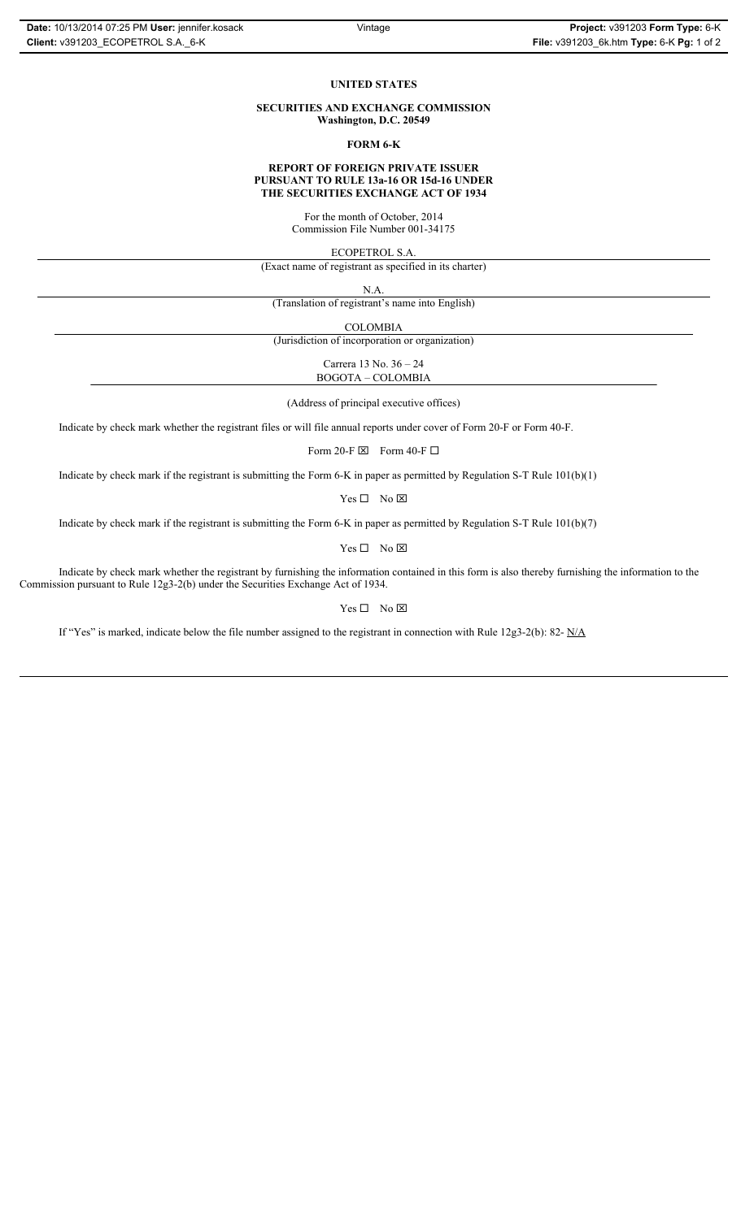#### **UNITED STATES**

**SECURITIES AND EXCHANGE COMMISSION Washington, D.C. 20549**

#### **FORM 6-K**

#### **REPORT OF FOREIGN PRIVATE ISSUER PURSUANT TO RULE 13a-16 OR 15d-16 UNDER THE SECURITIES EXCHANGE ACT OF 1934**

For the month of October, 2014 Commission File Number 001-34175

ECOPETROL S.A.

(Exact name of registrant as specified in its charter)

N.A.

(Translation of registrant's name into English)

COLOMBIA

(Jurisdiction of incorporation or organization)

Carrera 13 No. 36 – 24 BOGOTA – COLOMBIA

(Address of principal executive offices)

Indicate by check mark whether the registrant files or will file annual reports under cover of Form 20-F or Form 40-F.

Form 20-F  $\boxtimes$  Form 40-F  $\Box$ 

Indicate by check mark if the registrant is submitting the Form 6-K in paper as permitted by Regulation S-T Rule 101(b)(1)

 $Yes \Box No \boxtimes$ 

Indicate by check mark if the registrant is submitting the Form 6-K in paper as permitted by Regulation S-T Rule 101(b)(7)

 $Yes \Box No \boxtimes$ 

Indicate by check mark whether the registrant by furnishing the information contained in this form is also thereby furnishing the information to the Commission pursuant to Rule 12g3-2(b) under the Securities Exchange Act of 1934.

### $Yes \Box No \boxtimes$

If "Yes" is marked, indicate below the file number assigned to the registrant in connection with Rule 12g3-2(b): 82-  $N/A$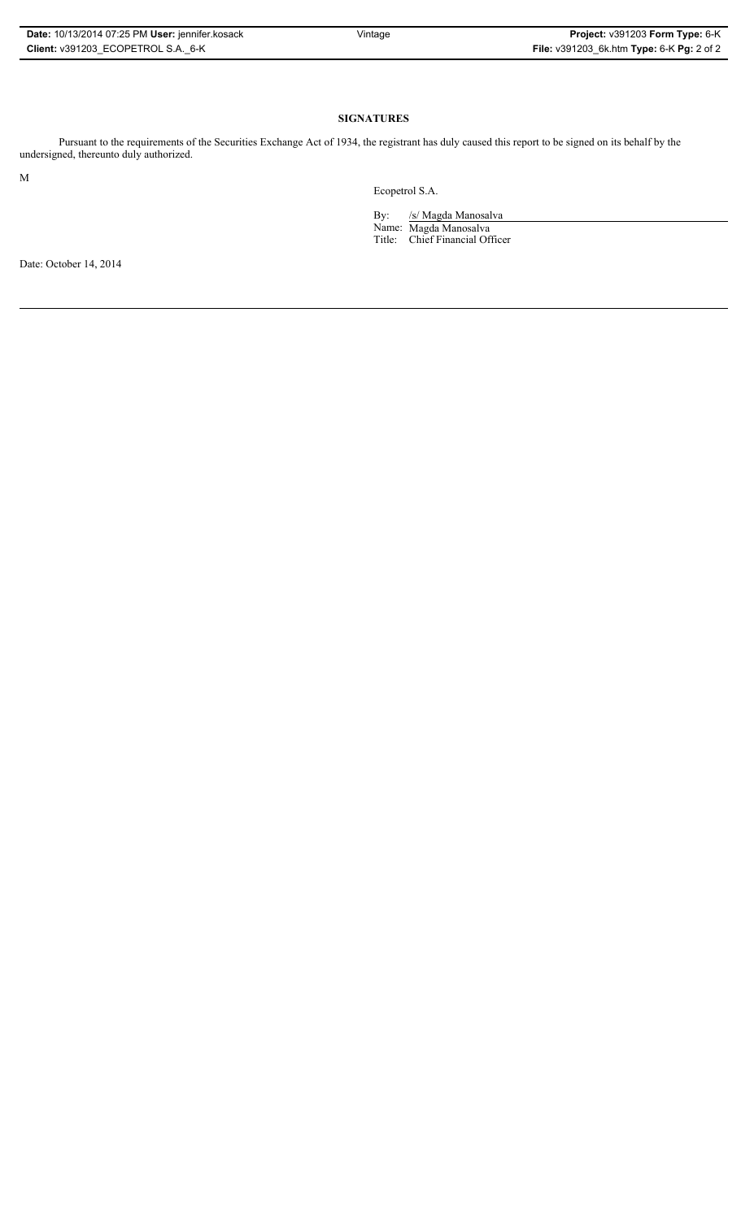| Date: 10/13/2014 07:25 PM User: jennifer.kosack |
|-------------------------------------------------|
| Client: v391203 ECOPETROL S.A. 6-K              |

## **SIGNATURES**

Pursuant to the requirements of the Securities Exchange Act of 1934, the registrant has duly caused this report to be signed on its behalf by the undersigned, thereunto duly authorized.

M

Ecopetrol S.A.

By: /s/ Magda Manosalva

Name: Magda Manosalva Title: Chief Financial Officer

Date: October 14, 2014